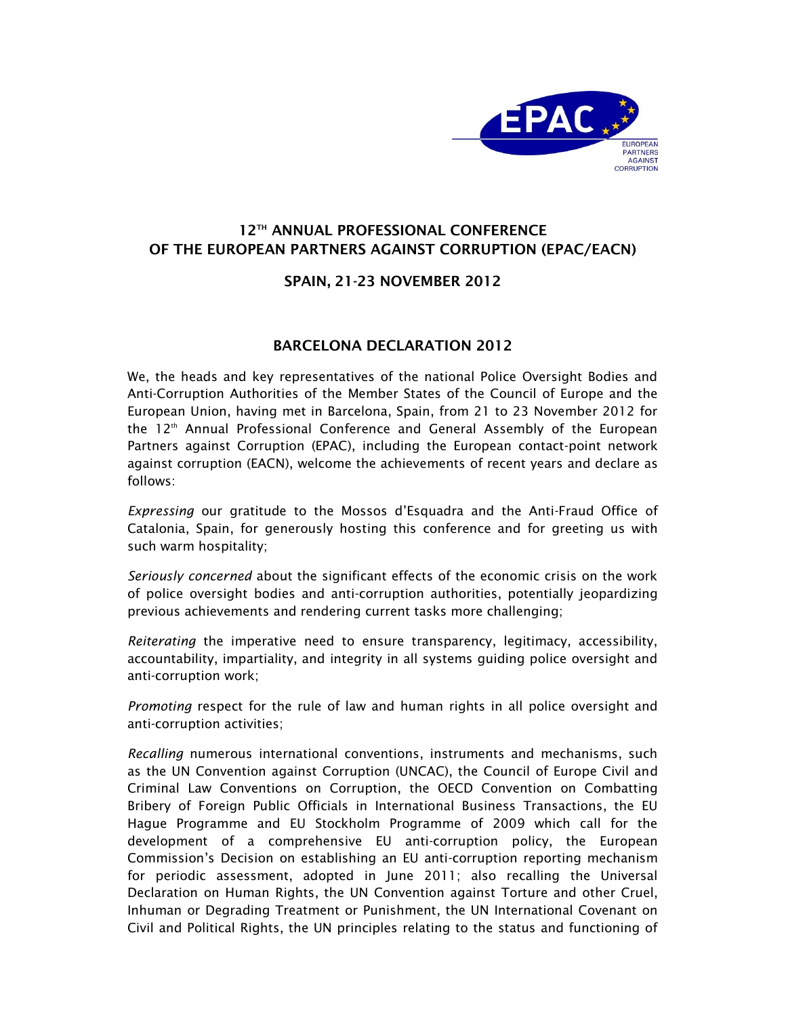

## **12TH ANNUAL PROFESSIONAL CONFERENCE OF THE EUROPEAN PARTNERS AGAINST CORRUPTION (EPAC/EACN)**

## **SPAIN, 21-23 NOVEMBER 2012**

## **BARCELONA DECLARATION 2012**

We, the heads and key representatives of the national Police Oversight Bodies and Anti-Corruption Authorities of the Member States of the Council of Europe and the European Union, having met in Barcelona, Spain, from 21 to 23 November 2012 for the 12<sup>th</sup> Annual Professional Conference and General Assembly of the European Partners against Corruption (EPAC), including the European contact-point network against corruption (EACN), welcome the achievements of recent years and declare as follows:

*Expressing* our gratitude to the Mossos d'Esquadra and the Anti-Fraud Office of Catalonia, Spain, for generously hosting this conference and for greeting us with such warm hospitality;

*Seriously concerned* about the significant effects of the economic crisis on the work of police oversight bodies and anti-corruption authorities, potentially jeopardizing previous achievements and rendering current tasks more challenging;

*Reiterating* the imperative need to ensure transparency, legitimacy, accessibility, accountability, impartiality, and integrity in all systems guiding police oversight and anti-corruption work;

*Promoting* respect for the rule of law and human rights in all police oversight and anti-corruption activities;

*Recalling* numerous international conventions, instruments and mechanisms, such as the UN Convention against Corruption (UNCAC), the Council of Europe Civil and Criminal Law Conventions on Corruption, the OECD Convention on Combatting Bribery of Foreign Public Officials in International Business Transactions, the EU Hague Programme and EU Stockholm Programme of 2009 which call for the development of a comprehensive EU anti-corruption policy, the European Commission's Decision on establishing an EU anti-corruption reporting mechanism for periodic assessment, adopted in June 2011; also recalling the Universal Declaration on Human Rights, the UN Convention against Torture and other Cruel, Inhuman or Degrading Treatment or Punishment, the UN International Covenant on Civil and Political Rights, the UN principles relating to the status and functioning of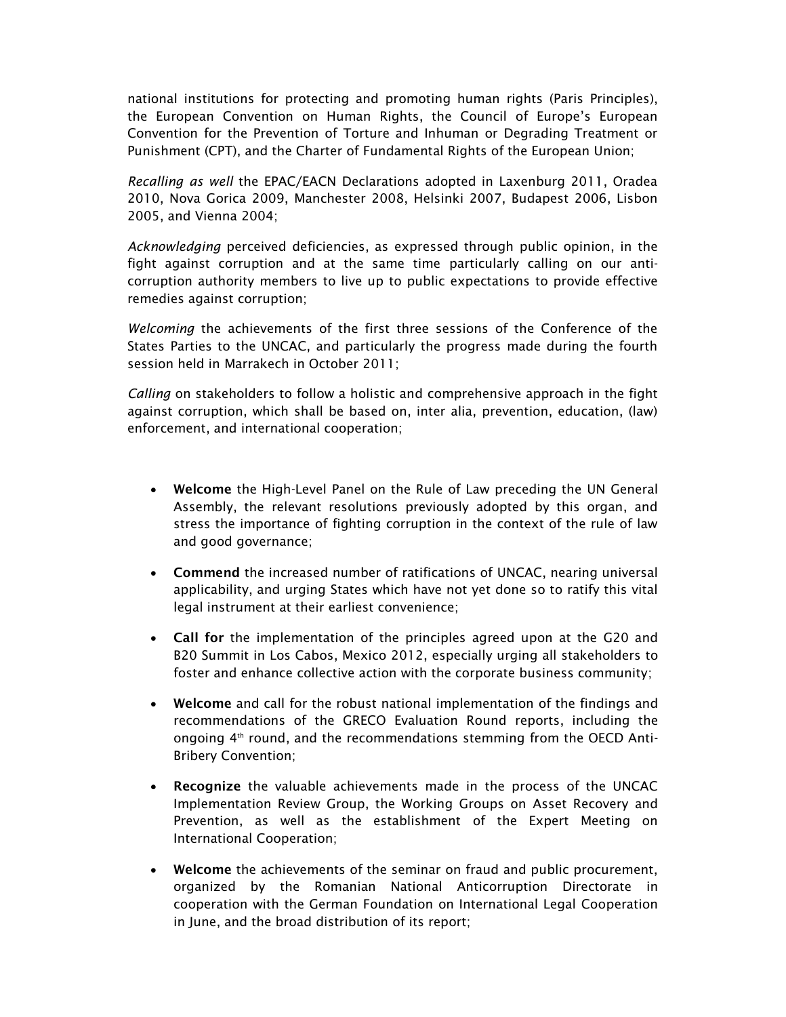national institutions for protecting and promoting human rights (Paris Principles), the European Convention on Human Rights, the Council of Europe's European Convention for the Prevention of Torture and Inhuman or Degrading Treatment or Punishment (CPT), and the Charter of Fundamental Rights of the European Union;

*Recalling as well* the EPAC/EACN Declarations adopted in Laxenburg 2011, Oradea 2010, Nova Gorica 2009, Manchester 2008, Helsinki 2007, Budapest 2006, Lisbon 2005, and Vienna 2004;

*Acknowledging* perceived deficiencies, as expressed through public opinion, in the fight against corruption and at the same time particularly calling on our anticorruption authority members to live up to public expectations to provide effective remedies against corruption;

*Welcoming* the achievements of the first three sessions of the Conference of the States Parties to the UNCAC, and particularly the progress made during the fourth session held in Marrakech in October 2011;

*Calling* on stakeholders to follow a holistic and comprehensive approach in the fight against corruption, which shall be based on, inter alia, prevention, education, (law) enforcement, and international cooperation;

- **Welcome** the High-Level Panel on the Rule of Law preceding the UN General Assembly, the relevant resolutions previously adopted by this organ, and stress the importance of fighting corruption in the context of the rule of law and good governance;
- **Commend** the increased number of ratifications of UNCAC, nearing universal applicability, and urging States which have not yet done so to ratify this vital legal instrument at their earliest convenience;
- **Call for** the implementation of the principles agreed upon at the G20 and B20 Summit in Los Cabos, Mexico 2012, especially urging all stakeholders to foster and enhance collective action with the corporate business community;
- **Welcome** and call for the robust national implementation of the findings and recommendations of the GRECO Evaluation Round reports, including the ongoing  $4<sup>th</sup>$  round, and the recommendations stemming from the OECD Anti-Bribery Convention;
- **Recognize** the valuable achievements made in the process of the UNCAC Implementation Review Group, the Working Groups on Asset Recovery and Prevention, as well as the establishment of the Expert Meeting on International Cooperation;
- **Welcome** the achievements of the seminar on fraud and public procurement, organized by the Romanian National Anticorruption Directorate in cooperation with the German Foundation on International Legal Cooperation in June, and the broad distribution of its report;